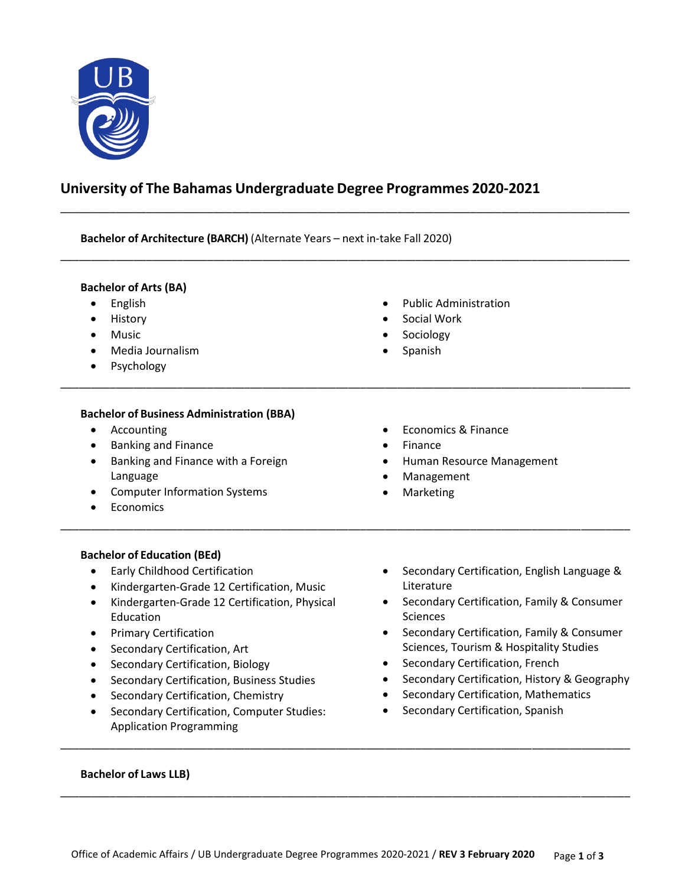

# **University of The Bahamas Undergraduate Degree Programmes 2020-2021**

\_\_\_\_\_\_\_\_\_\_\_\_\_\_\_\_\_\_\_\_\_\_\_\_\_\_\_\_\_\_\_\_\_\_\_\_\_\_\_\_\_\_\_\_\_\_\_\_\_\_\_\_\_\_\_\_\_\_\_\_\_\_\_\_\_\_\_\_\_\_\_\_\_\_\_\_\_\_\_\_\_\_\_\_\_\_\_\_\_\_\_\_\_

\_\_\_\_\_\_\_\_\_\_\_\_\_\_\_\_\_\_\_\_\_\_\_\_\_\_\_\_\_\_\_\_\_\_\_\_\_\_\_\_\_\_\_\_\_\_\_\_\_\_\_\_\_\_\_\_\_\_\_\_\_\_\_\_\_\_\_\_\_\_\_\_\_\_\_\_\_\_\_\_\_\_\_\_\_\_\_\_\_\_\_\_\_

\_\_\_\_\_\_\_\_\_\_\_\_\_\_\_\_\_\_\_\_\_\_\_\_\_\_\_\_\_\_\_\_\_\_\_\_\_\_\_\_\_\_\_\_\_\_\_\_\_\_\_\_\_\_\_\_\_\_\_\_\_\_\_\_\_\_\_\_\_\_\_\_\_\_\_\_\_\_\_\_\_\_\_\_\_\_\_\_\_\_\_\_\_

\_\_\_\_\_\_\_\_\_\_\_\_\_\_\_\_\_\_\_\_\_\_\_\_\_\_\_\_\_\_\_\_\_\_\_\_\_\_\_\_\_\_\_\_\_\_\_\_\_\_\_\_\_\_\_\_\_\_\_\_\_\_\_\_\_\_\_\_\_\_\_\_\_\_\_\_\_\_\_\_\_\_\_\_\_\_\_\_\_\_\_\_\_

**Bachelor of Architecture (BARCH)** (Alternate Years – next in-take Fall 2020)

## **Bachelor of Arts (BA)**

- **•** English
- History
- Music
- Media Journalism
- Psychology
- Public Administration
- Social Work
- Sociology
- Spanish

# **Bachelor of Business Administration (BBA)**

- Accounting
- Banking and Finance
- Banking and Finance with a Foreign Language
- Computer Information Systems
- Economics
- Economics & Finance
- Finance
- Human Resource Management
- Management
- Marketing

# **Bachelor of Education (BEd)**

- Early Childhood Certification
- Kindergarten-Grade 12 Certification, Music
- Kindergarten-Grade 12 Certification, Physical Education
- **•** Primary Certification
- Secondary Certification, Art
- Secondary Certification, Biology
- **•** Secondary Certification, Business Studies
- Secondary Certification, Chemistry
- Secondary Certification, Computer Studies: Application Programming
- Secondary Certification, English Language & Literature
- **•** Secondary Certification, Family & Consumer **Sciences**
- Secondary Certification, Family & Consumer Sciences, Tourism & Hospitality Studies
- Secondary Certification, French
- Secondary Certification, History & Geography
- Secondary Certification, Mathematics
- Secondary Certification, Spanish

#### **Bachelor of Laws LLB)**

\_\_\_\_\_\_\_\_\_\_\_\_\_\_\_\_\_\_\_\_\_\_\_\_\_\_\_\_\_\_\_\_\_\_\_\_\_\_\_\_\_\_\_\_\_\_\_\_\_\_\_\_\_\_\_\_\_\_\_\_\_\_\_\_\_\_\_\_\_\_\_\_\_\_\_\_\_\_\_\_\_\_\_\_\_\_\_\_\_\_\_\_\_

\_\_\_\_\_\_\_\_\_\_\_\_\_\_\_\_\_\_\_\_\_\_\_\_\_\_\_\_\_\_\_\_\_\_\_\_\_\_\_\_\_\_\_\_\_\_\_\_\_\_\_\_\_\_\_\_\_\_\_\_\_\_\_\_\_\_\_\_\_\_\_\_\_\_\_\_\_\_\_\_\_\_\_\_\_\_\_\_\_\_\_\_\_